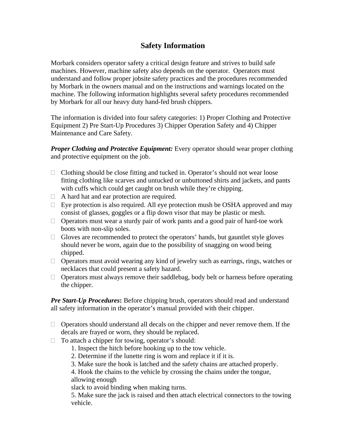## **Safety Information**

Morbark considers operator safety a critical design feature and strives to build safe machines. However, machine safety also depends on the operator. Operators must understand and follow proper jobsite safety practices and the procedures recommended by Morbark in the owners manual and on the instructions and warnings located on the machine. The following information highlights several safety procedures recommended by Morbark for all our heavy duty hand-fed brush chippers.

The information is divided into four safety categories: 1) Proper Clothing and Protective Equipment 2) Pre Start-Up Procedures 3) Chipper Operation Safety and 4) Chipper Maintenance and Care Safety.

*Proper Clothing and Protective Equipment: Every operator should wear proper clothing* and protective equipment on the job.

- $\Box$  Clothing should be close fitting and tucked in. Operator's should not wear loose fitting clothing like scarves and untucked or unbuttoned shirts and jackets, and pants with cuffs which could get caught on brush while they're chipping.
- $\Box$  A hard hat and ear protection are required.
- $\Box$  Eye protection is also required. All eye protection mush be OSHA approved and may consist of glasses, goggles or a flip down visor that may be plastic or mesh.
- $\Box$  Operators must wear a sturdy pair of work pants and a good pair of hard-toe work boots with non-slip soles.
- $\Box$  Gloves are recommended to protect the operators' hands, but gauntlet style gloves should never be worn, again due to the possibility of snagging on wood being chipped.
- □ Operators must avoid wearing any kind of jewelry such as earrings, rings, watches or necklaces that could present a safety hazard.
- $\Box$  Operators must always remove their saddlebag, body belt or harness before operating the chipper.

*Pre Start-Up Procedures***:** Before chipping brush, operators should read and understand all safety information in the operator's manual provided with their chipper.

- $\Box$  Operators should understand all decals on the chipper and never remove them. If the decals are frayed or worn, they should be replaced.
- $\Box$  To attach a chipper for towing, operator's should:
	- 1. Inspect the hitch before hooking up to the tow vehicle.
	- 2. Determine if the lunette ring is worn and replace it if it is.
	- 3. Make sure the hook is latched and the safety chains are attached properly.

4. Hook the chains to the vehicle by crossing the chains under the tongue, allowing enough

slack to avoid binding when making turns.

5. Make sure the jack is raised and then attach electrical connectors to the towing vehicle.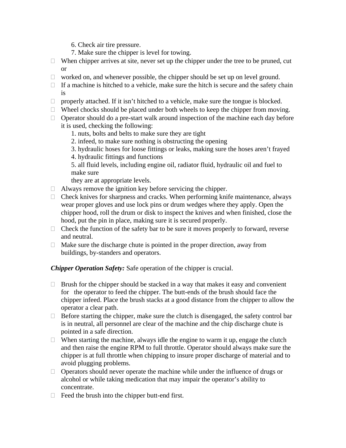- 6. Check air tire pressure.
- 7. Make sure the chipper is level for towing.
- $\Box$  When chipper arrives at site, never set up the chipper under the tree to be pruned, cut or
- $\Box$  worked on, and whenever possible, the chipper should be set up on level ground.
- $\Box$  If a machine is hitched to a vehicle, make sure the hitch is secure and the safety chain is
- $\Box$  properly attached. If it isn't hitched to a vehicle, make sure the tongue is blocked.
- $\Box$  Wheel chocks should be placed under both wheels to keep the chipper from moving.
- $\Box$  Operator should do a pre-start walk around inspection of the machine each day before it is used, checking the following:
	- 1. nuts, bolts and belts to make sure they are tight
	- 2. infeed, to make sure nothing is obstructing the opening
	- 3. hydraulic hoses for loose fittings or leaks, making sure the hoses aren't frayed
	- 4. hydraulic fittings and functions

5. all fluid levels, including engine oil, radiator fluid, hydraulic oil and fuel to make sure

they are at appropriate levels.

- $\Box$  Always remove the ignition key before servicing the chipper.
- $\Box$  Check knives for sharpness and cracks. When performing knife maintenance, always wear proper gloves and use lock pins or drum wedges where they apply. Open the chipper hood, roll the drum or disk to inspect the knives and when finished, close the hood, put the pin in place, making sure it is secured properly.
- $\Box$  Check the function of the safety bar to be sure it moves properly to forward, reverse and neutral.
- $\Box$  Make sure the discharge chute is pointed in the proper direction, away from buildings, by-standers and operators.

*Chipper Operation Safety:* Safe operation of the chipper is crucial.

- $\Box$  Brush for the chipper should be stacked in a way that makes it easy and convenient for the operator to feed the chipper. The butt-ends of the brush should face the chipper infeed. Place the brush stacks at a good distance from the chipper to allow the operator a clear path.
- $\Box$  Before starting the chipper, make sure the clutch is disengaged, the safety control bar is in neutral, all personnel are clear of the machine and the chip discharge chute is pointed in a safe direction.
- $\Box$  When starting the machine, always idle the engine to warm it up, engage the clutch and then raise the engine RPM to full throttle. Operator should always make sure the chipper is at full throttle when chipping to insure proper discharge of material and to avoid plugging problems.
- $\Box$  Operators should never operate the machine while under the influence of drugs or alcohol or while taking medication that may impair the operator's ability to concentrate.
- $\Box$  Feed the brush into the chipper butt-end first.